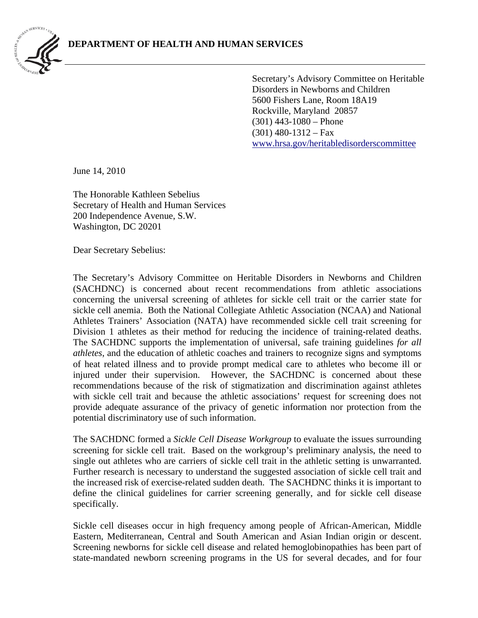

Secretary's Advisory Committee on Heritable Disorders in Newborns and Children 5600 Fishers Lane, Room 18A19 Rockville, Maryland 20857 (301) 443-1080 – Phone  $(301)$  480-1312 – Fax [www.hrsa.gov/heritabledisorderscommittee](http://www.hrsa.gov/heritabledisorderscommittee) 

June 14, 2010

The Honorable Kathleen Sebelius Secretary of Health and Human Services 200 Independence Avenue, S.W. Washington, DC 20201

Dear Secretary Sebelius:

The Secretary's Advisory Committee on Heritable Disorders in Newborns and Children (SACHDNC) is concerned about recent recommendations from athletic associations concerning the universal screening of athletes for sickle cell trait or the carrier state for sickle cell anemia. Both the National Collegiate Athletic Association (NCAA) and National Athletes Trainers' Association (NATA) have recommended sickle cell trait screening for Division 1 athletes as their method for reducing the incidence of training-related deaths. The SACHDNC supports the implementation of universal, safe training guidelines *for all athletes*, and the education of athletic coaches and trainers to recognize signs and symptoms of heat related illness and to provide prompt medical care to athletes who become ill or injured under their supervision. However, the SACHDNC is concerned about these recommendations because of the risk of stigmatization and discrimination against athletes with sickle cell trait and because the athletic associations' request for screening does not provide adequate assurance of the privacy of genetic information nor protection from the potential discriminatory use of such information.

The SACHDNC formed a *Sickle Cell Disease Workgroup* to evaluate the issues surrounding screening for sickle cell trait. Based on the workgroup's preliminary analysis, the need to single out athletes who are carriers of sickle cell trait in the athletic setting is unwarranted. Further research is necessary to understand the suggested association of sickle cell trait and the increased risk of exercise-related sudden death. The SACHDNC thinks it is important to define the clinical guidelines for carrier screening generally, and for sickle cell disease specifically.

Sickle cell diseases occur in high frequency among people of African-American, Middle Eastern, Mediterranean, Central and South American and Asian Indian origin or descent. Screening newborns for sickle cell disease and related hemoglobinopathies has been part of state-mandated newborn screening programs in the US for several decades, and for four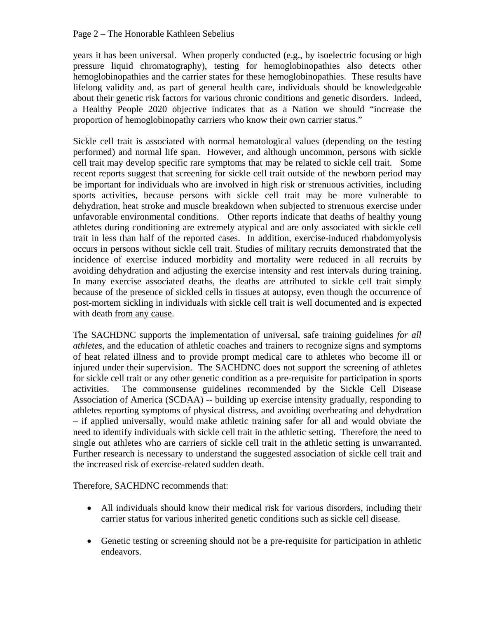years it has been universal. When properly conducted (e.g., by isoelectric focusing or high pressure liquid chromatography), testing for hemoglobinopathies also detects other hemoglobinopathies and the carrier states for these hemoglobinopathies. These results have lifelong validity and, as part of general health care, individuals should be knowledgeable about their genetic risk factors for various chronic conditions and genetic disorders. Indeed, a Healthy People 2020 objective indicates that as a Nation we should "increase the proportion of hemoglobinopathy carriers who know their own carrier status."

Sickle cell trait is associated with normal hematological values (depending on the testing performed) and normal life span. However, and although uncommon, persons with sickle cell trait may develop specific rare symptoms that may be related to sickle cell trait. Some recent reports suggest that screening for sickle cell trait outside of the newborn period may be important for individuals who are involved in high risk or strenuous activities, including sports activities, because persons with sickle cell trait may be more vulnerable to dehydration, heat stroke and muscle breakdown when subjected to strenuous exercise under unfavorable environmental conditions. Other reports indicate that deaths of healthy young athletes during conditioning are extremely atypical and are only associated with sickle cell trait in less than half of the reported cases. In addition, exercise-induced rhabdomyolysis occurs in persons without sickle cell trait. Studies of military recruits demonstrated that the incidence of exercise induced morbidity and mortality were reduced in all recruits by avoiding dehydration and adjusting the exercise intensity and rest intervals during training. In many exercise associated deaths, the deaths are attributed to sickle cell trait simply because of the presence of sickled cells in tissues at autopsy, even though the occurrence of post-mortem sickling in individuals with sickle cell trait is well documented and is expected with death from any cause.

The SACHDNC supports the implementation of universal, safe training guidelines *for all athletes*, and the education of athletic coaches and trainers to recognize signs and symptoms of heat related illness and to provide prompt medical care to athletes who become ill or injured under their supervision. The SACHDNC does not support the screening of athletes for sickle cell trait or any other genetic condition as a pre-requisite for participation in sports activities. The commonsense guidelines recommended by the Sickle Cell Disease Association of America (SCDAA) -- building up exercise intensity gradually, responding to athletes reporting symptoms of physical distress, and avoiding overheating and dehydration – if applied universally, would make athletic training safer for all and would obviate the need to identify individuals with sickle cell trait in the athletic setting. Therefore, the need to single out athletes who are carriers of sickle cell trait in the athletic setting is unwarranted. Further research is necessary to understand the suggested association of sickle cell trait and the increased risk of exercise-related sudden death.

Therefore, SACHDNC recommends that:

- All individuals should know their medical risk for various disorders, including their carrier status for various inherited genetic conditions such as sickle cell disease.
- Genetic testing or screening should not be a pre-requisite for participation in athletic endeavors.